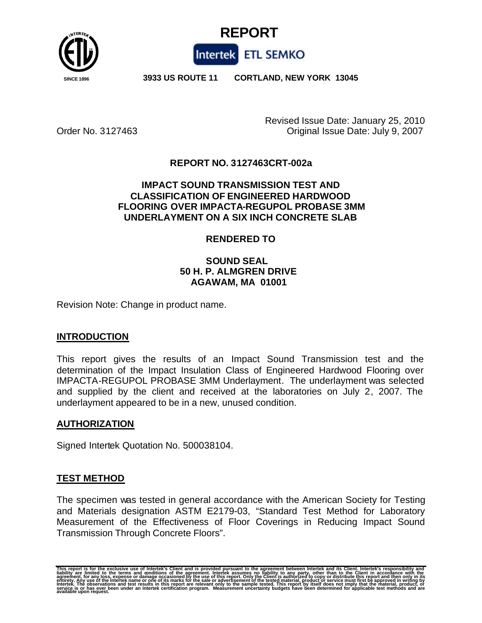



 **SINCE 1896 3933 US ROUTE 11 CORTLAND, NEW YORK 13045**

Revised Issue Date: January 25, 2010 Order No. 3127463 Original Issue Date: July 9, 2007

## **REPORT NO. 3127463CRT-002a**

### **IMPACT SOUND TRANSMISSION TEST AND CLASSIFICATION OF ENGINEERED HARDWOOD FLOORING OVER IMPACTA-REGUPOL PROBASE 3MM UNDERLAYMENT ON A SIX INCH CONCRETE SLAB**

## **RENDERED TO**

## **SOUND SEAL 50 H. P. ALMGREN DRIVE AGAWAM, MA 01001**

Revision Note: Change in product name.

### **INTRODUCTION**

This report gives the results of an Impact Sound Transmission test and the determination of the Impact Insulation Class of Engineered Hardwood Flooring over IMPACTA-REGUPOL PROBASE 3MM Underlayment. The underlayment was selected and supplied by the client and received at the laboratories on July 2, 2007. The underlayment appeared to be in a new, unused condition.

### **AUTHORIZATION**

Signed Intertek Quotation No. 500038104.

### **TEST METHOD**

The specimen was tested in general accordance with the American Society for Testing and Materials designation ASTM E2179-03, "Standard Test Method for Laboratory Measurement of the Effectiveness of Floor Coverings in Reducing Impact Sound Transmission Through Concrete Floors".

This report is for the exclusive use of Intertek's Client and is provided pursuant to the agreement between Intertek and its Client. Intertek's responsibility and<br>liability are limited to the terms and conditions of the ag agreement, for any loss, expense or damage occasioned by the use of this report. Only the Client's authorized to copy or distribute this report and then only in its<br>entirety. Any use of the Intertek name or one of its mark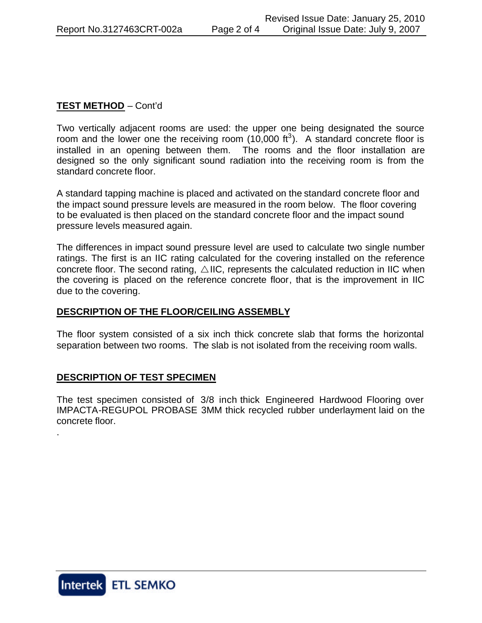# **TEST METHOD** – Cont'd

Two vertically adjacent rooms are used: the upper one being designated the source room and the lower one the receiving room  $(10,000 \text{ ft}^3)$ . A standard concrete floor is installed in an opening between them. The rooms and the floor installation are designed so the only significant sound radiation into the receiving room is from the standard concrete floor.

A standard tapping machine is placed and activated on the standard concrete floor and the impact sound pressure levels are measured in the room below. The floor covering to be evaluated is then placed on the standard concrete floor and the impact sound pressure levels measured again.

The differences in impact sound pressure level are used to calculate two single number ratings. The first is an IIC rating calculated for the covering installed on the reference concrete floor. The second rating,  $\triangle$  IIC, represents the calculated reduction in IIC when the covering is placed on the reference concrete floor, that is the improvement in IIC due to the covering.

### **DESCRIPTION OF THE FLOOR/CEILING ASSEMBLY**

The floor system consisted of a six inch thick concrete slab that forms the horizontal separation between two rooms. The slab is not isolated from the receiving room walls.

### **DESCRIPTION OF TEST SPECIMEN**

The test specimen consisted of 3/8 inch thick Engineered Hardwood Flooring over IMPACTA-REGUPOL PROBASE 3MM thick recycled rubber underlayment laid on the concrete floor.



.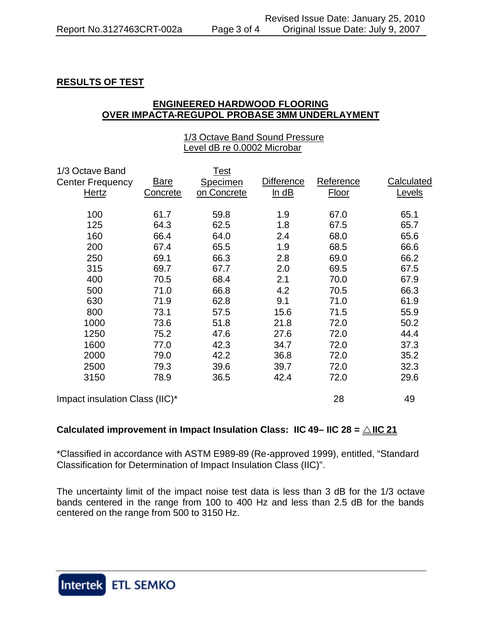## **RESULTS OF TEST**

### **ENGINEERED HARDWOOD FLOORING OVER IMPACTA-REGUPOL PROBASE 3MM UNDERLAYMENT**

### 1/3 Octave Band Sound Pressure Level dB re 0.0002 Microbar

| 1/3 Octave Band                |             | Test        |                   |           |            |
|--------------------------------|-------------|-------------|-------------------|-----------|------------|
| <b>Center Frequency</b>        | <b>Bare</b> | Specimen    | <b>Difference</b> | Reference | Calculated |
| Hertz                          | Concrete    | on Concrete | ln dB             | Floor     | Levels     |
| 100                            | 61.7        | 59.8        | 1.9               | 67.0      | 65.1       |
| 125                            | 64.3        | 62.5        | 1.8               | 67.5      | 65.7       |
| 160                            | 66.4        | 64.0        | 2.4               | 68.0      | 65.6       |
| 200                            | 67.4        | 65.5        | 1.9               | 68.5      | 66.6       |
| 250                            | 69.1        | 66.3        | 2.8               | 69.0      | 66.2       |
| 315                            | 69.7        | 67.7        | 2.0               | 69.5      | 67.5       |
| 400                            | 70.5        | 68.4        | 2.1               | 70.0      | 67.9       |
| 500                            | 71.0        | 66.8        | 4.2               | 70.5      | 66.3       |
| 630                            | 71.9        | 62.8        | 9.1               | 71.0      | 61.9       |
| 800                            | 73.1        | 57.5        | 15.6              | 71.5      | 55.9       |
| 1000                           | 73.6        | 51.8        | 21.8              | 72.0      | 50.2       |
| 1250                           | 75.2        | 47.6        | 27.6              | 72.0      | 44.4       |
| 1600                           | 77.0        | 42.3        | 34.7              | 72.0      | 37.3       |
| 2000                           | 79.0        | 42.2        | 36.8              | 72.0      | 35.2       |
| 2500                           | 79.3        | 39.6        | 39.7              | 72.0      | 32.3       |
| 3150                           | 78.9        | 36.5        | 42.4              | 72.0      | 29.6       |
| Impact insulation Class (IIC)* |             |             |                   | 28        | 49         |

# **Calculated improvement in Impact Insulation Class: IIC 49– IIC 28 =**  $\triangle$  **IIC 21**

\*Classified in accordance with ASTM E989-89 (Re-approved 1999), entitled, "Standard Classification for Determination of Impact Insulation Class (IIC)".

The uncertainty limit of the impact noise test data is less than 3 dB for the 1/3 octave bands centered in the range from 100 to 400 Hz and less than 2.5 dB for the bands centered on the range from 500 to 3150 Hz.